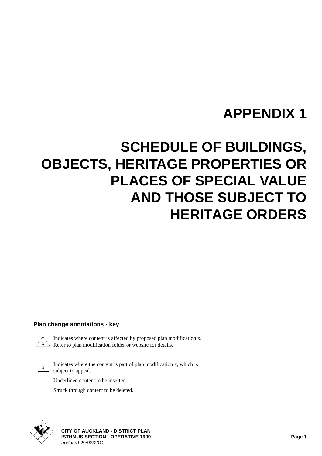# <span id="page-0-0"></span>**SCHEDULE OF BUILDINGS, OBJECTS, HERITAGE PROPERTIES OR PLACES OF SPECIAL VALUE AND THOSE SUBJECT TO HERITAGE ORDERS**

#### **Plan change annotations - key**

Indicates where content is affected by proposed plan modification x. Refer to plan modification folder or website for details.

Indicates where the content is part of plan modification x, which is subject to appeal.

Underlined content to be inserted.

Struck through content to be deleted.



 $\mathbf{x}^{\prime}$ 

x

**CITY OF AUCKLAND - DISTRICT PLAN ISTHMUS SECTION - OPERATIVE 1999 Page 1** *updated 29/02/2012*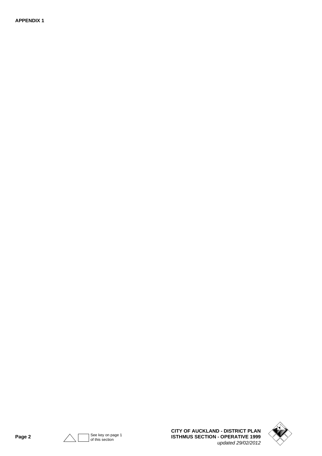

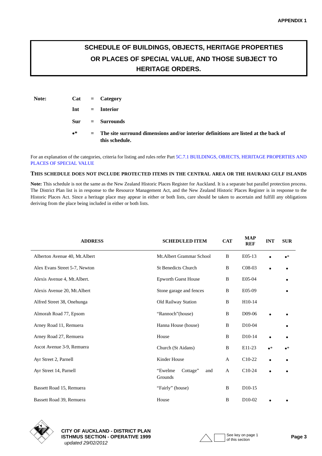### **SCHEDULE OF BUILDINGS, OBJECTS, HERITAGE PROPERTIES OR PLACES OF SPECIAL VALUE, AND THOSE SUBJECT TO HERITAGE ORDERS.**

| Note: |             | $Cat = Category$                                                                                                |
|-------|-------------|-----------------------------------------------------------------------------------------------------------------|
|       |             | $Int = Int$                                                                                                     |
|       |             | $Sur = Surrounds$                                                                                               |
|       | $\bullet^*$ | $\epsilon$ The site surround dimensions and/or interior definitions are listed at the back of<br>this schedule. |

For an explanation of the categories, criteria for listing and rules refer Part 5C.7.1 BUILDINGS, OBJECTS, HERITAGE PROPERTIES AND PLACES OF SPECIAL VALUE

#### **THIS SCHEDULE DOES NOT INCLUDE PROTECTED ITEMS IN THE CENTRAL AREA OR THE HAURAKI GULF ISLANDS**

**Note:** This schedule is not the same as the New Zealand Historic Places Register for Auckland. It is a separate but parallel protection process. The District Plan list is in response to the Resource Management Act, and the New Zealand Historic Places Register is in response to the Historic Places Act. Since a heritage place may appear in either or both lists, care should be taken to ascertain and fulfill any obligations deriving from the place being included in either or both lists.

| <b>ADDRESS</b>                 | <b>SCHEDULED ITEM</b>                 | <b>CAT</b> | <b>MAP</b><br><b>REF</b> | <b>INT</b>  | <b>SUR</b>  |
|--------------------------------|---------------------------------------|------------|--------------------------|-------------|-------------|
| Alberton Avenue 40, Mt. Albert | Mt.Albert Grammar School              | B          | E05-13                   |             | $\bullet^*$ |
| Alex Evans Street 5-7, Newton  | <b>St Benedicts Church</b>            | B          | C <sub>08</sub> -03      |             | ٠           |
| Alexis Avenue 4, Mt. Albert.   | <b>Epworth Guest House</b>            | B          | E05-04                   |             |             |
| Alexis Avenue 20, Mt.Albert    | Stone garage and fences               | B          | E05-09                   |             |             |
| Alfred Street 38, Onehunga     | Old Railway Station                   | B          | H10-14                   |             |             |
| Almorah Road 77, Epsom         | "Rannoch"(house)                      | B          | D09-06                   |             |             |
| Arney Road 11, Remuera         | Hanna House (house)                   | B          | D <sub>10</sub> -04      |             |             |
| Arney Road 27, Remuera         | House                                 | B          | D <sub>10</sub> -14      |             |             |
| Ascot Avenue 3-9, Remuera      | Church (St Aidans)                    | B          | E11-23                   | $\bullet^*$ | $\bullet^*$ |
| Ayr Street 2, Parnell          | Kinder House                          | A          | $C10-22$                 | $\bullet$   |             |
| Ayr Street 14, Parnell         | "Ewelme<br>Cottage"<br>and<br>Grounds | A          | $C10-24$                 | $\bullet$   |             |
| Bassett Road 15, Remuera       | "Fairly" (house)                      | B          | D <sub>10</sub> -15      |             |             |
| Bassett Road 39, Remuera       | House                                 | B          | $D10-02$                 |             |             |



**CITY OF AUCKLAND - DISTRICT PLAN ISTHMUS SECTION - OPERATIVE 1999**  $\wedge \qquad$  See key on page 1 **Page 3**  *updated 29/02/2012*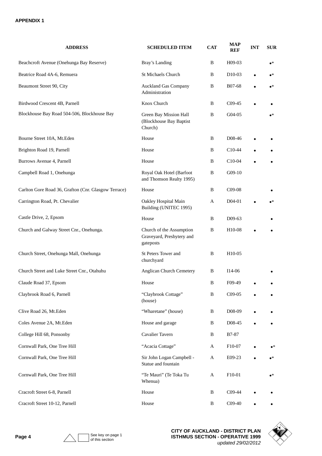| <b>ADDRESS</b>                                       | <b>SCHEDULED ITEM</b>                                              | <b>CAT</b>   | <b>MAP</b><br>REF   | <b>INT</b> | <b>SUR</b>  |
|------------------------------------------------------|--------------------------------------------------------------------|--------------|---------------------|------------|-------------|
| Beachcroft Avenue (Onehunga Bay Reserve)             | Bray's Landing                                                     | B            | H09-03              |            | $\bullet^*$ |
| Beatrice Road 4A-6, Remuera                          | <b>St Michaels Church</b>                                          | B            | D <sub>10</sub> -03 |            | $\bullet^*$ |
| Beaumont Street 90, City                             | <b>Auckland Gas Company</b><br>Administration                      | B            | B07-68              |            | $\bullet^*$ |
| Birdwood Crescent 4B, Parnell                        | Knox Church                                                        | B            | $C09-45$            |            |             |
| Blockhouse Bay Road 504-506, Blockhouse Bay          | Green Bay Mission Hall<br>(Blockhouse Bay Baptist<br>Church)       | $\, {\bf B}$ | G04-05              |            | $\bullet^*$ |
| Bourne Street 10A, Mt.Eden                           | House                                                              | B            | D08-46              |            |             |
| Brighton Road 19, Parnell                            | House                                                              | B            | $C10-44$            |            |             |
| Burrows Avenue 4, Parnell                            | House                                                              | B            | C10-04              |            |             |
| Campbell Road 1, Onehunga                            | Royal Oak Hotel (Barfoot<br>and Thomson Realty 1995)               | $\, {\bf B}$ | G09-10              |            |             |
| Carlton Gore Road 36, Grafton (Cnr. Glasgow Terrace) | House                                                              | B            | C09-08              |            |             |
| Carrington Road, Pt. Chevalier                       | Oakley Hospital Main<br>Building (UNITEC 1995)                     | A            | D04-01              |            | $\bullet^*$ |
| Castle Drive, 2, Epsom                               | House                                                              | B            | D09-63              |            |             |
| Church and Galway Street Cnr., Onehunga.             | Church of the Assumption<br>Graveyard, Presbytery and<br>gateposts | B            | H10-08              |            |             |
| Church Street, Onehunga Mall, Onehunga               | St Peters Tower and<br>churchyard                                  | B            | H10-05              |            |             |
| Church Street and Luke Street Cnr., Otahuhu          | Anglican Church Cemetery                                           | B            | I14-06              |            |             |
| Claude Road 37, Epsom                                | House                                                              | B            | F09-49              |            |             |
| Claybrook Road 6, Parnell                            | "Claybrook Cottage"<br>(house)                                     | $\, {\bf B}$ | C09-05              |            |             |
| Clive Road 26, Mt.Eden                               | "Wharetane" (house)                                                | B            | D08-09              |            |             |
| Coles Avenue 2A, Mt.Eden                             | House and garage                                                   | B            | D08-45              |            |             |
| College Hill 68, Ponsonby                            | Cavalier Tavern                                                    | B            | B7-87               |            |             |
| Cornwall Park, One Tree Hill                         | "Acacia Cottage"                                                   | A            | F10-07              |            | $\bullet^*$ |
| Cornwall Park, One Tree Hill                         | Sir John Logan Campbell -<br>Statue and fountain                   | A            | E09-23              |            | $\bullet^*$ |
| Cornwall Park, One Tree Hill                         | "Te Mauri" (Te Toka Tu<br>Whenua)                                  | A            | F10-01              |            | $\bullet^*$ |
| Cracroft Street 6-8, Parnell                         | House                                                              | B            | C09-44              |            |             |
| Cracroft Street 10-12, Parnell                       | House                                                              | B            | $C09-40$            |            |             |



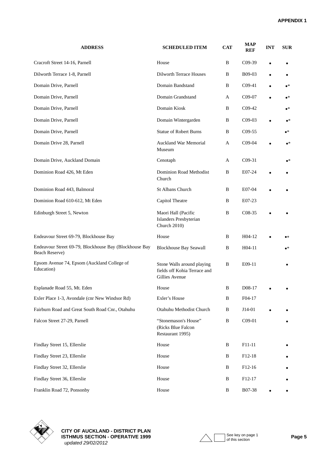| <b>ADDRESS</b>                                                           | <b>SCHEDULED ITEM</b>                                                        | <b>CAT</b> | <b>MAP</b><br><b>REF</b> | <b>INT</b> | <b>SUR</b>    |
|--------------------------------------------------------------------------|------------------------------------------------------------------------------|------------|--------------------------|------------|---------------|
| Cracroft Street 14-16, Parnell                                           | House                                                                        | B          | $C09-39$                 |            |               |
| Dilworth Terrace 1-8, Parnell                                            | <b>Dilworth Terrace Houses</b>                                               | B          | B09-03                   |            |               |
| Domain Drive, Parnell                                                    | Domain Bandstand                                                             | В          | $C09-41$                 |            | $\bullet^*$   |
| Domain Drive, Parnell                                                    | Domain Grandstand                                                            | A          | C09-07                   |            | $\bullet^*$   |
| Domain Drive, Parnell                                                    | Domain Kiosk                                                                 | В          | $C09-42$                 |            | $\bullet^*$   |
| Domain Drive, Parnell                                                    | Domain Wintergarden                                                          | B          | $C09-03$                 |            | $\bullet^*$   |
| Domain Drive, Parnell                                                    | <b>Statue of Robert Burns</b>                                                | B          | C09-55                   |            | $\bullet^*$   |
| Domain Drive 28, Parnell                                                 | <b>Auckland War Memorial</b><br>Museum                                       | А          | C09-04                   |            | $\bullet^*$   |
| Domain Drive, Auckland Domain                                            | Cenotaph                                                                     | A          | $C09-31$                 |            | $\bullet^*$   |
| Dominion Road 426, Mt Eden                                               | Dominion Road Methodist<br>Church                                            | B          | E07-24                   |            |               |
| Dominion Road 443, Balmoral                                              | St Albans Church                                                             | В          | E07-04                   |            |               |
| Dominion Road 610-612, Mt Eden                                           | Capitol Theatre                                                              | В          | E07-23                   |            |               |
| Edinburgh Street 5, Newton                                               | Maori Hall (Pacific<br>Islanders Presbyterian<br><b>Church 2010)</b>         | B          | C08-35                   |            |               |
| Endeavour Street 69-79, Blockhouse Bay                                   | House                                                                        | B          | $H04-12$                 |            | $\bullet\ast$ |
| Endeavour Street 69-79, Blockhouse Bay (Blockhouse Bay<br>Beach Reserve) | <b>Blockhouse Bay Seawall</b>                                                | В          | H04-11                   |            | $\bullet^*$   |
| Epsom Avenue 74, Epsom (Auckland College of<br>Education)                | Stone Walls around playing<br>fields off Kohia Terrace and<br>Gillies Avenue | В          | E09-11                   |            |               |
| Esplanade Road 55, Mt. Eden                                              | House                                                                        | B          | D08-17                   |            |               |
| Exler Place 1-3, Avondale (cnr New Windsor Rd)                           | Exler's House                                                                | B          | F04-17                   |            |               |
| Fairburn Road and Great South Road Cnr., Otahuhu                         | Otahuhu Methodist Church                                                     | B          | $J14-01$                 |            |               |
| Falcon Street 27-29, Parnell                                             | "Stonemason's House"<br>(Ricks Blue Falcon<br>Restaurant 1995)               | B          | C09-01                   |            |               |
| Findlay Street 15, Ellerslie                                             | House                                                                        | B          | F11-11                   |            |               |
| Findlay Street 23, Ellerslie                                             | House                                                                        | B          | F12-18                   |            |               |
| Findlay Street 32, Ellerslie                                             | House                                                                        | B          | F <sub>12</sub> -16      |            |               |
| Findlay Street 36, Ellerslie                                             | House                                                                        | B          | F12-17                   |            |               |
| Franklin Road 72, Ponsonby                                               | House                                                                        | B          | B07-38                   | $\bullet$  |               |



**CITY OF AUCKLAND - DISTRICT PLAN ISTHMUS SECTION - OPERATIVE 1999 Page 5**  *updated 29/02/2012*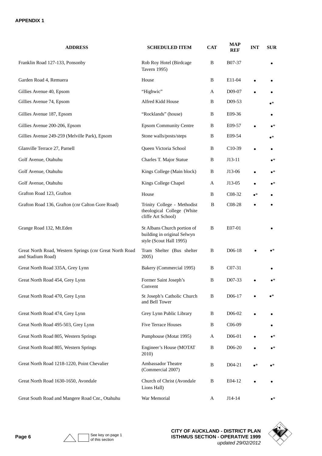| <b>ADDRESS</b>                                                               | <b>SCHEDULED ITEM</b>                                                                 | <b>CAT</b> | <b>MAP</b><br><b>REF</b> | <b>INT</b>  | <b>SUR</b>  |
|------------------------------------------------------------------------------|---------------------------------------------------------------------------------------|------------|--------------------------|-------------|-------------|
| Franklin Road 127-133, Ponsonby                                              | Rob Roy Hotel (Birdcage<br>Tavern 1995)                                               | B          | B07-37                   |             |             |
| Garden Road 4, Remuera                                                       | House                                                                                 | B          | E11-04                   |             |             |
| Gillies Avenue 40, Epsom                                                     | "Highwic"                                                                             | A          | D09-07                   |             |             |
| Gillies Avenue 74, Epsom                                                     | Alfred Kidd House                                                                     | B          | D09-53                   |             | $\bullet^*$ |
| Gillies Avenue 187, Epsom                                                    | "Rocklands" (house)                                                                   | B          | E09-36                   |             | $\bullet$   |
| Gillies Avenue 200-206, Epsom                                                | <b>Epsom Community Centre</b>                                                         | B          | E09-57                   |             | $\bullet^*$ |
| Gillies Avenue 249-259 (Melville Park), Epsom                                | Stone walls/posts/steps                                                               | B          | E09-54                   |             | $\bullet^*$ |
| Glanville Terrace 27, Parnell                                                | Queen Victoria School                                                                 | B          | $C10-39$                 | $\bullet$   | $\bullet$   |
| Golf Avenue, Otahuhu                                                         | Charles T. Major Statue                                                               | B          | $J13-11$                 |             | $\bullet^*$ |
| Golf Avenue, Otahuhu                                                         | Kings College (Main block)                                                            | B          | J13-06                   |             | $\bullet^*$ |
| Golf Avenue, Otahuhu                                                         | Kings College Chapel                                                                  | A          | J13-05                   |             | $\bullet^*$ |
| Grafton Road 123, Grafton                                                    | House                                                                                 | B          | C <sub>08</sub> -32      | $\bullet^*$ |             |
| Grafton Road 136, Grafton (cnr Calton Gore Road)                             | Trinity College - Methodist<br>theological College (White<br>cliffe Art School)       | B          | C08-28                   |             |             |
| Grange Road 132, Mt.Eden                                                     | St Albans Church portion of<br>building in original Selwyn<br>style (Scout Hall 1995) | B          | E07-01                   |             |             |
| Great North Road, Western Springs (cnr Great North Road<br>and Stadium Road) | Tram Shelter (Bus shelter<br>2005)                                                    | B          | D06-18                   |             | •*          |
| Great North Road 335A, Grey Lynn                                             | Bakery (Commercial 1995)                                                              | B          | $C07-31$                 |             |             |
| Great North Road 454, Grey Lynn                                              | Former Saint Joseph's<br>Convent                                                      | B          | D07-33                   |             | $\bullet^*$ |
| Great North Road 470, Grey Lynn                                              | St Joseph's Catholic Church<br>and Bell Tower                                         | B          | D <sub>06</sub> -17      |             | $\bullet^*$ |
| Great North Road 474, Grey Lynn                                              | Grey Lynn Public Library                                                              | B          | D <sub>06</sub> -02      |             |             |
| Great North Road 495-503, Grey Lynn                                          | Five Terrace Houses                                                                   | B          | C <sub>06</sub> -09      |             |             |
| Great North Road 805, Western Springs                                        | Pumphouse (Motat 1995)                                                                | A          | D06-01                   |             | $\bullet^*$ |
| Great North Road 805, Western Springs                                        | Engineer's House (MOTAT<br>2010)                                                      | B          | D <sub>06</sub> -20      |             | $\bullet^*$ |
| Great North Road 1218-1220, Point Chevalier                                  | <b>Ambassador Theatre</b><br>(Commercial 2007)                                        | B          | $D04-21$                 | $\bullet^*$ | $\bullet^*$ |
| Great North Road 1630-1650, Avondale                                         | Church of Christ (Avondale<br>Lions Hall)                                             | B          | E04-12                   |             |             |
| Great South Road and Mangere Road Cnr., Otahuhu                              | War Memorial                                                                          | A          | $J14-14$                 |             | $\bullet^*$ |

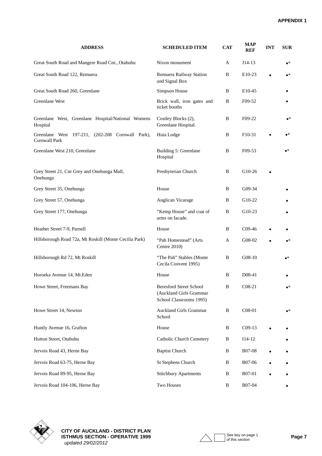| <b>ADDRESS</b>                                                           | <b>SCHEDULED ITEM</b>                                                                | <b>CAT</b> | <b>MAP</b><br><b>REF</b> | <b>INT</b> | <b>SUR</b>  |
|--------------------------------------------------------------------------|--------------------------------------------------------------------------------------|------------|--------------------------|------------|-------------|
| Great South Road and Mangere Road Cnr., Otahuhu                          | Nixon monument                                                                       | A          | $J14-13$                 |            | $\bullet^*$ |
| Great South Road 122, Remuera                                            | Remuera Railway Station<br>and Signal Box                                            | B          | E10-23                   |            | $\bullet^*$ |
| Great South Road 260, Greenlane                                          | Simpson House                                                                        | B          | E10-45                   |            |             |
| Greenlane West                                                           | Brick wall, iron gates and<br>ticket booths                                          | B          | F09-52                   |            |             |
| Greenlane West, Greenlane Hospital/National Womens<br>Hospital           | Costley Blocks (2),<br>Greenlane Hospital.                                           | B          | F09-22                   |            | $\bullet^*$ |
| Greenlane West 197-211, (202-208 Cornwall Park),<br><b>Cornwall Park</b> | Huia Lodge                                                                           | B          | F10-31                   |            | •*          |
| Greenlane West 210, Greenlane                                            | Building 5: Greenlane<br>Hospital                                                    | B          | F09-53                   |            | $\bullet^*$ |
| Grey Street 21, Cnr Grey and Onehunga Mall,<br>Onehunga                  | Presbyterian Church                                                                  | B          | G10-26                   |            |             |
| Grey Street 35, Onehunga                                                 | House                                                                                | B          | G09-34                   |            |             |
| Grey Street 57, Onehunga                                                 | Anglican Vicarage                                                                    | B          | G10-22                   |            |             |
| Grey Street 177, Onehunga                                                | "Kemp House" and coat of<br>arms on facade.                                          | B          | G10-23                   |            |             |
| Heather Street 7-9, Parnell                                              | House                                                                                | B          | $C09-46$                 |            |             |
| Hillsborough Road 72a, Mt Roskill (Monte Cecilia Park)                   | "Pah Homestead" (Arts<br>Centre 2010)                                                | A          | G08-02                   |            | $\bullet^*$ |
| Hillsborough Rd 72, Mt Roskill                                           | "The Pah" Stables (Monte<br>Cecila Convent 1995)                                     | B          | G08-10                   |            | $\bullet^*$ |
| Horoeka Avenue 14, Mt.Eden                                               | House                                                                                | B          | D08-41                   |            |             |
| Howe Street, Freemans Bay                                                | <b>Beresford Street School</b><br>(Auckland Girls Grammar<br>School Classrooms 1995) | B          | $C08-21$                 |            | $\bullet^*$ |
| Howe Street 14, Newton                                                   | <b>Auckland Girls Grammar</b><br>School                                              | B          | $C08-01$                 |            | $\bullet^*$ |
| Huntly Avenue 16, Grafton                                                | House                                                                                | B          | $C09-13$                 |            |             |
| Hutton Street, Otahuhu                                                   | Catholic Church Cemetery                                                             | B          | $I14-12$                 |            |             |
| Jervois Road 43, Herne Bay                                               | <b>Baptist Church</b>                                                                | B          | <b>B07-08</b>            |            |             |
| Jervois Road 63-75, Herne Bay                                            | St Stephens Church                                                                   | B          | B07-06                   |            |             |
| Jervois Road 89-95, Herne Bay                                            | <b>Stitchbury Apartments</b>                                                         | B          | <b>B07-01</b>            |            |             |
| Jervois Road 104-106, Herne Bay                                          | Two Houses                                                                           | B          | B07-04                   |            |             |



**CITY OF AUCKLAND - DISTRICT PLAN ISTHMUS SECTION - OPERATIVE 1999** Page 7  *updated 29/02/2012*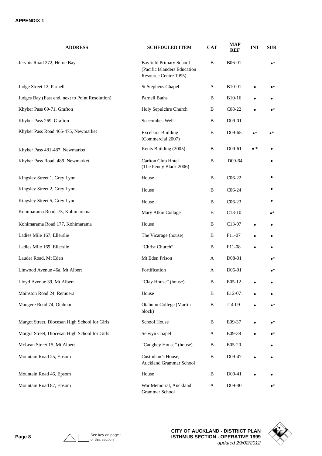| <b>ADDRESS</b>                                  | <b>SCHEDULED ITEM</b>                                                                   | <b>CAT</b> | <b>MAP</b><br><b>REF</b> | <b>INT</b>  | <b>SUR</b>  |
|-------------------------------------------------|-----------------------------------------------------------------------------------------|------------|--------------------------|-------------|-------------|
| Jervois Road 272, Herne Bay                     | <b>Bayfield Primary School</b><br>(Pacific Islanders Education<br>Resource Centre 1995) | B          | B06-01                   |             | $\bullet^*$ |
| Judge Street 12, Parnell                        | St Stephens Chapel                                                                      | A          | B10-01                   |             | $\bullet^*$ |
| Judges Bay (East end, next to Point Resolution) | Parnell Baths                                                                           | B          | B10-16                   |             |             |
| Khyber Pass 69-71, Grafton                      | Holy Sepulchre Church                                                                   | B          | C <sub>08</sub> -22      | $\bullet$   | $\bullet^*$ |
| Khyber Pass 269, Grafton                        | Seccombes Well                                                                          | B          | D09-01                   |             |             |
| Khyber Pass Road 465-475, Newmarket             | <b>Excelsior Building</b><br>(Commercial 2007)                                          | B          | D09-65                   | $\bullet^*$ | •*          |
| Khyber Pass 481-487, Newmarket                  | Kents Building (2005)                                                                   | B          | D09-61                   | $\bullet$ * |             |
| Khyber Pass Road, 489, Newmarket                | Carlton Club Hotel<br>(The Penny Black 2006)                                            | B          | D09-64                   |             |             |
| Kingsley Street 1, Grey Lynn                    | House                                                                                   | B          | $C06-22$                 |             |             |
| Kingsley Street 2, Grey Lynn                    | House                                                                                   | B          | C <sub>06</sub> -24      |             |             |
| Kingsley Street 5, Grey Lynn                    | House                                                                                   | B          | $C06-23$                 |             |             |
| Kohimarama Road, 73, Kohimarama                 | Mary Atkin Cottage                                                                      | B          | $C13-10$                 |             | $\bullet^*$ |
| Kohimarama Road 177, Kohimarama                 | House                                                                                   | B          | C <sub>13</sub> -07      |             | $\bullet$   |
| Ladies Mile 167, Ellerslie                      | The Vicarage (house)                                                                    | B          | F11-07                   |             | ٠           |
| Ladies Mile 169, Ellerslie                      | "Christ Church"                                                                         | B          | F <sub>11</sub> -08      |             |             |
| Lauder Road, Mt Eden                            | Mt Eden Prison                                                                          | A          | D08-01                   |             | $\bullet^*$ |
| Linwood Avenue 46a, Mt. Albert                  | Fortification                                                                           | A          | D <sub>05</sub> -01      |             | $\bullet^*$ |
| Lloyd Avenue 39, Mt.Albert                      | "Clay House" (house)                                                                    | B          | E05-12                   |             |             |
| Mainston Road 24, Remuera                       | House                                                                                   | B          | E12-07                   |             |             |
| Mangere Road 74, Otahuhu                        | Otahuhu College (Martin<br>block)                                                       | B          | J14-09                   |             | $\bullet^*$ |
| Margot Street, Diocesan High School for Girls   | School House                                                                            | B          | E09-37                   |             | $\bullet^*$ |
| Margot Street, Diocesan High School for Girls   | Selwyn Chapel                                                                           | A          | E09-38                   |             | $\bullet^*$ |
| McLean Street 15, Mt.Albert                     | "Caughey House" (house)                                                                 | B          | E05-20                   |             |             |
| Mountain Road 25, Epsom                         | Custodian's House,<br><b>Auckland Grammar School</b>                                    | B          | D09-47                   |             |             |
| Mountain Road 46, Epsom                         | House                                                                                   | B          | D09-41                   |             |             |
| Mountain Road 87, Epsom                         | War Memorial, Auckland<br>Grammar School                                                | A          | D09-40                   |             | $\bullet^*$ |

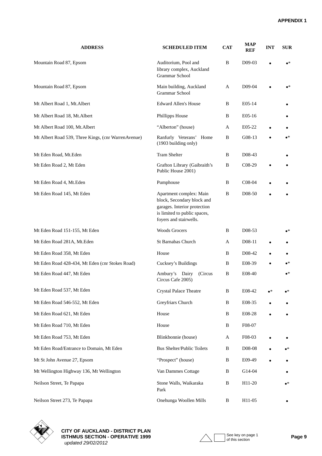| <b>ADDRESS</b>                                      | <b>SCHEDULED ITEM</b>                                                                                                                           | <b>CAT</b> | <b>MAP</b><br><b>REF</b> | <b>INT</b> | <b>SUR</b>  |
|-----------------------------------------------------|-------------------------------------------------------------------------------------------------------------------------------------------------|------------|--------------------------|------------|-------------|
| Mountain Road 87, Epsom                             | Auditorium, Pool and<br>library complex, Auckland<br><b>Grammar School</b>                                                                      | B          | D09-03                   |            | $\bullet^*$ |
| Mountain Road 87, Epsom                             | Main building, Auckland<br>Grammar School                                                                                                       | A          | D09-04                   |            | $\bullet^*$ |
| Mt Albert Road 1, Mt. Albert                        | <b>Edward Allen's House</b>                                                                                                                     | B          | E05-14                   |            |             |
| Mt Albert Road 18, Mt. Albert                       | Phillipps House                                                                                                                                 | B          | E05-16                   |            |             |
| Mt Albert Road 100, Mt. Albert                      | "Alberton" (house)                                                                                                                              | A          | E05-22                   |            |             |
| Mt Albert Road 539, Three Kings, (cnr WarrenAvenue) | Ranfurly Veterans' Home<br>(1903 building only)                                                                                                 | B          | G08-13                   |            | $\bullet^*$ |
| Mt Eden Road, Mt.Eden                               | <b>Tram Shelter</b>                                                                                                                             | B          | D <sub>0</sub> 8-43      |            |             |
| Mt Eden Road 2, Mt Eden                             | Grafton Library (Gaibraith's<br>Public House 2001)                                                                                              | B          | C <sub>08</sub> -29      |            |             |
| Mt Eden Road 4, Mt.Eden                             | Pumphouse                                                                                                                                       | B          | C <sub>08</sub> -04      |            |             |
| Mt Eden Road 145, Mt Eden                           | Apartment complex: Main<br>block, Secondary block and<br>garages. Interior protection<br>is limited to public spaces,<br>foyers and stairwells. | B          | D <sub>08</sub> -50      |            |             |
| Mt Eden Road 151-155, Mt Eden                       | <b>Woods Grocers</b>                                                                                                                            | B          | D <sub>08</sub> -53      |            | $\bullet^*$ |
| Mt Eden Road 281A, Mt.Eden                          | St Barnabas Church                                                                                                                              | A          | D08-11                   |            |             |
| Mt Eden Road 358, Mt Eden                           | House                                                                                                                                           | B          | D <sub>0</sub> 8-42      |            |             |
| Mt Eden Road 428-434, Mt Eden (cnr Stokes Road)     | Cucksey's Buildings                                                                                                                             | B          | E08-39                   |            | $\bullet^*$ |
| Mt Eden Road 447, Mt Eden                           | Ambury's Dairy<br>(Circus<br>Circus Cafe 2005)                                                                                                  | B          | E08-40                   |            | $\bullet^*$ |
| Mt Eden Road 537, Mt Eden                           | <b>Crystal Palace Theatre</b>                                                                                                                   | B          | E08-42                   | •*         | $\bullet^*$ |
| Mt Eden Road 546-552, Mt Eden                       | Greyfriars Church                                                                                                                               | B          | E08-35                   |            |             |
| Mt Eden Road 621, Mt Eden                           | House                                                                                                                                           | B          | E08-28                   |            |             |
| Mt Eden Road 710, Mt Eden                           | House                                                                                                                                           | B          | F08-07                   |            |             |
| Mt Eden Road 753, Mt Eden                           | Blinkbonnie (house)                                                                                                                             | A          | F08-03                   |            |             |
| Mt Eden Road/Entrance to Domain, Mt Eden            | <b>Bus Shelter/Public Toilets</b>                                                                                                               | B          | D08-08                   |            | $\bullet^*$ |
| Mt St John Avenue 27, Epsom                         | "Prospect" (house)                                                                                                                              | B          | E09-49                   |            |             |
| Mt Wellington Highway 136, Mt Wellington            | Van Dammes Cottage                                                                                                                              | B          | G14-04                   |            |             |
| Neilson Street, Te Papapa                           | Stone Walls, Waikaraka<br>Park                                                                                                                  | B          | H11-20                   |            | $\bullet^*$ |
| Neilson Street 273, Te Papapa                       | Onehunga Woollen Mills                                                                                                                          | B          | H11-05                   |            |             |



**CITY OF AUCKLAND - DISTRICT PLAN ISTHMUS SECTION - OPERATIVE 1999 Page 9**  *updated 29/02/2012*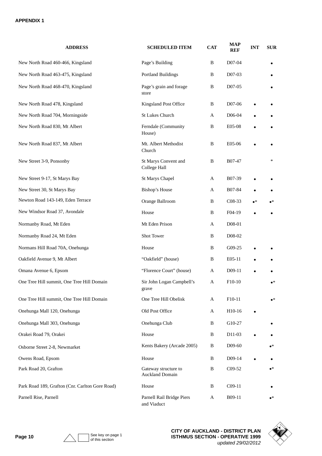| <b>ADDRESS</b>                                  | <b>SCHEDULED ITEM</b>                          | <b>CAT</b> | <b>MAP</b><br><b>REF</b> | <b>INT</b>  | <b>SUR</b>  |
|-------------------------------------------------|------------------------------------------------|------------|--------------------------|-------------|-------------|
| New North Road 460-466, Kingsland               | Page's Building                                | B          | D07-04                   |             |             |
| New North Road 463-475, Kingsland               | <b>Portland Buildings</b>                      | B          | D07-03                   |             |             |
| New North Road 468-470, Kingsland               | Page's grain and forage<br>store               | B          | D07-05                   |             |             |
| New North Road 478, Kingsland                   | Kingsland Post Office                          | B          | D07-06                   |             |             |
| New North Road 704, Morningside                 | St Lukes Church                                | A          | D06-04                   |             |             |
| New North Road 830, Mt Albert                   | Ferndale (Community<br>House)                  | B          | E05-08                   |             |             |
| New North Road 837, Mt Albert                   | Mt. Albert Methodist<br>Church                 | B          | E05-06                   |             |             |
| New Street 3-9, Ponsonby                        | St Marys Convent and<br>College Hall           | B          | B07-47                   |             | *           |
| New Street 9-17, St Marys Bay                   | St Marys Chapel                                | A          | B07-39                   |             |             |
| New Street 30, St Marys Bay                     | <b>Bishop's House</b>                          | A          | B07-84                   |             |             |
| Newton Road 143-149, Eden Terrace               | Orange Ballroom                                | B          | C <sub>08</sub> -33      | $\bullet^*$ | $\bullet^*$ |
| New Windsor Road 37, Avondale                   | House                                          | B          | F04-19                   |             | ٠           |
| Normanby Road, Mt Eden                          | Mt Eden Prison                                 | A          | D08-01                   |             |             |
| Normanby Road 24, Mt Eden                       | Shot Tower                                     | B          | D08-02                   |             |             |
| Normans Hill Road 70A, Onehunga                 | House                                          | B          | G09-25                   |             |             |
| Oakfield Avenue 9, Mt Albert                    | "Oakfield" (house)                             | B          | E05-11                   |             |             |
| Omana Avenue 6, Epsom                           | "Florence Court" (house)                       | A          | D09-11                   |             |             |
| One Tree Hill summit, One Tree Hill Domain      | Sir John Logan Campbell's<br>grave             | A          | F10-10                   |             | $\bullet^*$ |
| One Tree Hill summit, One Tree Hill Domain      | One Tree Hill Obelisk                          | A          | F10-11                   |             | $\bullet^*$ |
| Onehunga Mall 120, Onehunga                     | Old Post Office                                | A          | H <sub>10</sub> -16      | $\bullet$   |             |
| Onehunga Mall 303, Onehunga                     | Onehunga Club                                  | B          | G10-27                   |             |             |
| Orakei Road 79, Orakei                          | House                                          | B          | D11-03                   |             |             |
| Osborne Street 2-8, Newmarket                   | Kents Bakery (Arcade 2005)                     | B          | D <sub>09</sub> -60      |             | $\bullet^*$ |
| Owens Road, Epsom                               | House                                          | B          | $D09-14$                 | $\bullet$   |             |
| Park Road 20, Grafton                           | Gateway structure to<br><b>Auckland Domain</b> | B          | C09-52                   |             | $\bullet^*$ |
| Park Road 189, Grafton (Cnr. Carlton Gore Road) | House                                          | B          | $C09-11$                 |             |             |
| Parnell Rise, Parnell                           | Parnell Rail Bridge Piers<br>and Viaduct       | A          | B09-11                   |             | •*          |

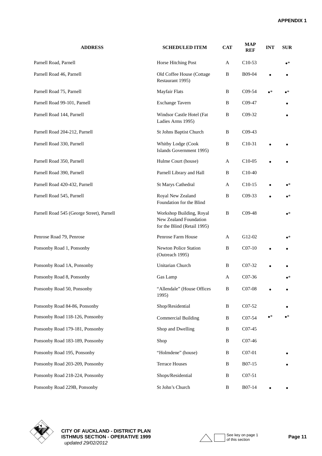| <b>ADDRESS</b>                            | <b>SCHEDULED ITEM</b>                                                             | <b>CAT</b>   | <b>MAP</b><br><b>REF</b> | <b>INT</b>  | <b>SUR</b>  |
|-------------------------------------------|-----------------------------------------------------------------------------------|--------------|--------------------------|-------------|-------------|
| Parnell Road, Parnell                     | Horse Hitching Post                                                               | A            | $C10-53$                 |             | $\bullet^*$ |
| Parnell Road 46, Parnell                  | Old Coffee House (Cottage<br>Restaurant 1995)                                     | B            | B09-04                   |             |             |
| Parnell Road 75, Parnell                  | <b>Mayfair Flats</b>                                                              | B            | C <sub>09</sub> -54      | $\bullet^*$ | •*          |
| Parnell Road 99-101, Parnell              | <b>Exchange Tavern</b>                                                            | B            | C09-47                   |             |             |
| Parnell Road 144, Parnell                 | Windsor Castle Hotel (Fat<br>Ladies Arms 1995)                                    | B            | C09-32                   |             |             |
| Parnell Road 204-212, Parnell             | St Johns Baptist Church                                                           | B            | $C09-43$                 |             |             |
| Parnell Road 330, Parnell                 | Whitby Lodge (Cook<br>Islands Government 1995)                                    | В            | $C10-31$                 |             |             |
| Parnell Road 350, Parnell                 | Hulme Court (house)                                                               | A            | C <sub>10</sub> -05      |             |             |
| Parnell Road 390, Parnell                 | Parnell Library and Hall                                                          | B            | $C10-40$                 |             |             |
| Parnell Road 420-432, Parnell             | <b>St Marys Cathedral</b>                                                         | A            | $C10-15$                 |             | $\bullet^*$ |
| Parnell Road 545, Parnell                 | Royal New Zealand<br>Foundation for the Blind                                     | В            | $C09-33$                 |             | $\bullet^*$ |
| Parnell Road 545 (George Street), Parnell | Workshop Building, Royal<br>New Zealand Foundation<br>for the Blind (Retail 1995) | B            | C09-48                   |             | $\bullet^*$ |
| Penrose Road 79, Penrose                  | Penrose Farm House                                                                | A            | G12-02                   |             | ∙∗          |
| Ponsonby Road 1, Ponsonby                 | <b>Newton Police Station</b><br>(Outreach 1995)                                   | B            | $CO7-10$                 |             |             |
| Ponsonby Road 1A, Ponsonby                | Unitarian Church                                                                  | B            | $C_{07-32}$              |             |             |
| Ponsonby Road 8, Ponsonby                 | Gas Lamp                                                                          | A            | C07-36                   |             | $\bullet^*$ |
| Ponsonby Road 50, Ponsonby                | "Allendale" (House Offices<br>1995)                                               | $\, {\bf B}$ | C07-08                   |             |             |
| Ponsonby Road 84-86, Ponsonby             | Shop/Residential                                                                  | B            | C07-52                   |             |             |
| Ponsonby Road 118-126, Ponsonby           | <b>Commercial Building</b>                                                        | $\, {\bf B}$ | C07-54                   | $\bullet^*$ | $\bullet^*$ |
| Ponsonby Road 179-181, Ponsonby           | Shop and Dwelling                                                                 | B            | C <sub>07</sub> -45      |             |             |
| Ponsonby Road 183-189, Ponsonby           | Shop                                                                              | B            | C <sub>07</sub> -46      |             |             |
| Ponsonby Road 195, Ponsonby               | "Holmdene" (house)                                                                | B            | C07-01                   |             |             |
| Ponsonby Road 203-209, Ponsonby           | <b>Terrace Houses</b>                                                             | B            | B07-15                   |             |             |
| Ponsonby Road 218-224, Ponsonby           | Shops/Residential                                                                 | B            | $C07-51$                 |             |             |
| Ponsonby Road 229B, Ponsonby              | St John's Church                                                                  | B            | B07-14                   |             |             |



**CITY OF AUCKLAND - DISTRICT PLAN ISTHMUS SECTION - OPERATIVE 1999** Page 11  *updated 29/02/2012*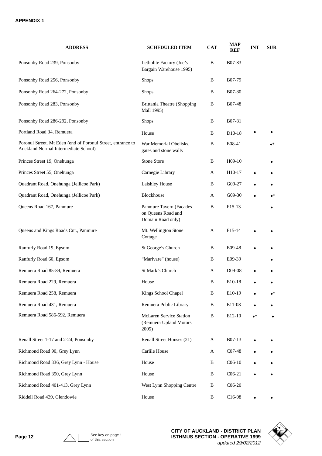| <b>ADDRESS</b>                                                                                      | <b>SCHEDULED ITEM</b>                                              | <b>CAT</b> | <b>MAP</b><br><b>REF</b> | <b>INT</b>  | <b>SUR</b>  |
|-----------------------------------------------------------------------------------------------------|--------------------------------------------------------------------|------------|--------------------------|-------------|-------------|
| Ponsonby Road 239, Ponsonby                                                                         | Letholite Factory (Joe's<br>Bargain Warehouse 1995)                | B          | B07-83                   |             |             |
| Ponsonby Road 256, Ponsonby                                                                         | <b>Shops</b>                                                       | B          | B07-79                   |             |             |
| Ponsonby Road 264-272, Ponsonby                                                                     | <b>Shops</b>                                                       | B          | B07-80                   |             |             |
| Ponsonby Road 283, Ponsonby                                                                         | <b>Brittania Theatre (Shopping</b><br>Mall 1995)                   | B          | <b>B07-48</b>            |             |             |
| Ponsonby Road 286-292, Ponsonby                                                                     | Shops                                                              | B          | B07-81                   |             |             |
| Portland Road 34, Remuera                                                                           | House                                                              | B          | D <sub>10</sub> -18      |             |             |
| Poronui Street, Mt Eden (end of Poronui Street, entrance to<br>Auckland Normal Intermediate School) | War Memorial Obelisks,<br>gates and stone walls                    | B          | E08-41                   |             | $\bullet^*$ |
| Princes Street 19, Onehunga                                                                         | Stone Store                                                        | B          | $H09-10$                 |             |             |
| Princes Street 55, Onehunga                                                                         | Carnegie Library                                                   | A          | H10-17                   |             |             |
| Quadrant Road, Onehunga (Jellicoe Park)                                                             | Laishley House                                                     | B          | G09-27                   |             |             |
| Quadrant Road, Onehunga (Jellicoe Park)                                                             | Blockhouse                                                         | A          | $G09-30$                 |             | $\bullet^*$ |
| Queens Road 167, Panmure                                                                            | Panmure Tavern (Facades<br>on Queens Road and<br>Domain Road only) | B          | F15-13                   |             |             |
| Queens and Kings Roads Cnr., Panmure                                                                | Mt. Wellington Stone<br>Cottage                                    | A          | F15-14                   |             |             |
| Ranfurly Road 19, Epsom                                                                             | St George's Church                                                 | B          | E09-48                   |             |             |
| Ranfurly Road 60, Epsom                                                                             | "Marivare" (house)                                                 | B          | E09-39                   |             |             |
| Remuera Road 85-89, Remuera                                                                         | St Mark's Church                                                   | A          | D09-08                   |             |             |
| Remuera Road 229, Remuera                                                                           | House                                                              | B          | E10-18                   |             |             |
| Remuera Road 258, Remuera                                                                           | Kings School Chapel                                                | B          | E10-19                   |             | $\bullet^*$ |
| Remuera Road 431, Remuera                                                                           | Remuera Public Library                                             | B          | E11-08                   |             |             |
| Remuera Road 586-592, Remuera                                                                       | McLaren Service Station<br>(Remuera Upland Motors<br>2005)         | B          | E12-10                   | $\bullet^*$ |             |
| Renall Street 1-17 and 2-24, Ponsonby                                                               | Renall Street Houses (21)                                          | A          | B07-13                   |             |             |
| Richmond Road 90, Grey Lynn                                                                         | Carlile House                                                      | A          | C07-48                   |             |             |
| Richmond Road 336, Grey Lynn - House                                                                | House                                                              | B          | $C06-10$                 |             |             |
| Richmond Road 350, Grey Lynn                                                                        | House                                                              | B          | $C06-21$                 |             |             |
| Richmond Road 401-413, Grey Lynn                                                                    | West Lynn Shopping Centre                                          | B          | $C06-20$                 |             |             |
| Riddell Road 439, Glendowie                                                                         | House                                                              | B          | $C16-08$                 |             |             |



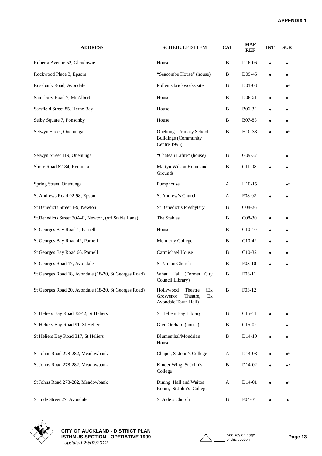| <b>ADDRESS</b>                                         | <b>SCHEDULED ITEM</b>                                                             | <b>CAT</b>   | <b>MAP</b><br><b>REF</b> | <b>INT</b> | <b>SUR</b>  |
|--------------------------------------------------------|-----------------------------------------------------------------------------------|--------------|--------------------------|------------|-------------|
| Roberta Avenue 52, Glendowie                           | House                                                                             | B            | D <sub>16</sub> -06      |            |             |
| Rockwood Place 3, Epsom                                | "Seacombe House" (house)                                                          | B            | D09-46                   |            |             |
| Rosebank Road, Avondale                                | Pollen's brickworks site                                                          | B            | D01-03                   |            | $\bullet^*$ |
| Sainsbury Road 7, Mt Albert                            | House                                                                             | B            | D <sub>06</sub> -21      |            |             |
| Sarsfield Street 85, Herne Bay                         | House                                                                             | B            | B06-32                   |            |             |
| Selby Square 7, Ponsonby                               | House                                                                             | B            | B07-85                   |            |             |
| Selwyn Street, Onehunga                                | Onehunga Primary School<br><b>Buildings (Community</b><br>Centre 1995)            | B            | H10-38                   |            | $\bullet^*$ |
| Selwyn Street 119, Onehunga                            | "Chateau Lafite" (house)                                                          | B            | G09-37                   |            |             |
| Shore Road 82-84, Remuera                              | Martyn Wilson Home and<br>Grounds                                                 | B            | C11-08                   |            |             |
| Spring Street, Onehunga                                | Pumphouse                                                                         | A            | H10-15                   |            | $\bullet^*$ |
| St Andrews Road 92-98, Epsom                           | St Andrew's Church                                                                | A            | F08-02                   |            |             |
| St Benedicts Street 1-9, Newton                        | St Benedict's Presbytery                                                          | B            | $C08-26$                 |            |             |
| St.Benedicts Street 30A-E, Newton, (off Stable Lane)   | The Stables                                                                       | B            | C <sub>08</sub> -30      |            |             |
| St Georges Bay Road 1, Parnell                         | House                                                                             | B            | $C10-10$                 |            |             |
| St Georges Bay Road 42, Parnell                        | Melmerly College                                                                  | B            | $C10-42$                 |            |             |
| St Georges Bay Road 66, Parnell                        | Carmichael House                                                                  | B            | $C10-32$                 |            |             |
| St Georges Road 17, Avondale                           | St Ninian Church                                                                  | B            | F03-10                   |            |             |
| St Georges Road 18, Avondale (18-20, St. Georges Road) | Whau Hall (Former City<br>Council Library)                                        | B            | F03-11                   |            |             |
| St Georges Road 20, Avondale (18-20, St. Georges Road) | Hollywood<br>Theatre<br>(Ex<br>Grosvenor<br>Ex<br>Theatre,<br>Avondale Town Hall) | B            | F03-12                   |            |             |
| St Heliers Bay Road 32-42, St Heliers                  | St Heliers Bay Library                                                            | B            | $C15-11$                 |            |             |
| St Heliers Bay Road 91, St Heliers                     | Glen Orchard (house)                                                              | B            | C15-02                   |            |             |
| St Heliers Bay Road 317, St Heliers                    | Blumenthal/Mondrian<br>House                                                      | B            | D <sub>14</sub> -10      |            |             |
| St Johns Road 278-282, Meadowbank                      | Chapel, St John's College                                                         | $\mathbf{A}$ | D <sub>14</sub> -08      |            | $\bullet^*$ |
| St Johns Road 278-282, Meadowbank                      | Kinder Wing, St John's<br>College                                                 | B            | D14-02                   |            | $\bullet^*$ |
| St Johns Road 278-282, Meadowbank                      | Dining Hall and Waitoa<br>Room, St John's College                                 | A            | D <sub>14</sub> -01      |            | $\bullet^*$ |
| St Jude Street 27, Avondale                            | St Jude's Church                                                                  | B            | F04-01                   |            |             |



**CITY OF AUCKLAND - DISTRICT PLAN ISTHMUS SECTION - OPERATIVE 1999** Page 13  *updated 29/02/2012*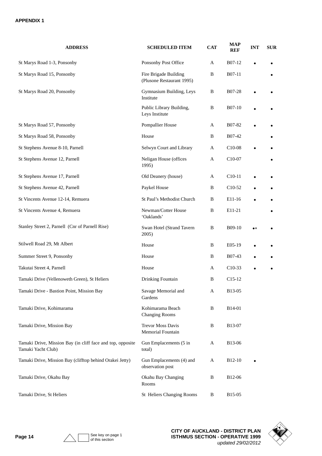| <b>ADDRESS</b>                                                                   | <b>SCHEDULED ITEM</b>                              | <b>CAT</b> | <b>MAP</b><br><b>REF</b> | <b>INT</b>    | <b>SUR</b> |
|----------------------------------------------------------------------------------|----------------------------------------------------|------------|--------------------------|---------------|------------|
| St Marys Road 1-3, Ponsonby                                                      | Ponsonby Post Office                               | A          | B07-12                   |               |            |
| St Marys Road 15, Ponsonby                                                       | Fire Brigade Building<br>(Plusone Restaurant 1995) | B          | B07-11                   |               |            |
| St Marys Road 20, Ponsonby                                                       | Gymnasium Building, Leys<br>Institute              | B          | B07-28                   |               |            |
|                                                                                  | Public Library Building,<br>Leys Institute         | B          | B07-10                   |               |            |
| St Marys Road 57, Ponsonby                                                       | Pompallier House                                   | A          | B07-82                   |               |            |
| St Marys Road 58, Ponsonby                                                       | House                                              | B          | B07-42                   |               |            |
| St Stephens Avenue 8-10, Parnell                                                 | Selwyn Court and Library                           | A          | C <sub>10</sub> -08      |               |            |
| St Stephens Avenue 12, Parnell                                                   | Neligan House (offices<br>1995)                    | A          | C10-07                   |               |            |
| St Stephens Avenue 17, Parnell                                                   | Old Deanery (house)                                | A          | C <sub>10</sub> -11      |               |            |
| St Stephens Avenue 42, Parnell                                                   | Paykel House                                       | B          | C <sub>10</sub> -52      |               |            |
| St Vincents Avenue 12-14, Remuera                                                | St Paul's Methodist Church                         | B          | E11-16                   |               |            |
| St Vincents Avenue 4, Remuera                                                    | Newman/Cotter House<br>'Oaklands'                  | B          | E11-21                   |               |            |
| Stanley Street 2, Parnell (Cnr of Parnell Rise)                                  | Swan Hotel (Strand Tavern<br>2005)                 | B          | B09-10                   | $\bullet\ast$ |            |
| Stilwell Road 29, Mt Albert                                                      | House                                              | B          | E05-19                   |               |            |
| Summer Street 9, Ponsonby                                                        | House                                              | B          | B07-43                   |               |            |
| Takutai Street 4, Parnell                                                        | House                                              | A          | $C10-33$                 |               |            |
| Tamaki Drive (Vellenoweth Green), St Heliers                                     | Drinking Fountain                                  | B          | $C15-12$                 |               |            |
| Tamaki Drive - Bastion Point, Mission Bay                                        | Savage Memorial and<br>Gardens                     | A          | B13-05                   |               |            |
| Tamaki Drive, Kohimarama                                                         | Kohimarama Beach<br><b>Changing Rooms</b>          | B          | B14-01                   |               |            |
| Tamaki Drive, Mission Bay                                                        | <b>Trevor Moss Davis</b><br>Memorial Fountain      | B          | B13-07                   |               |            |
| Tamaki Drive, Mission Bay (in cliff face and top, opposite<br>Tamaki Yacht Club) | Gun Emplacements (5 in<br>total)                   | A          | B13-06                   |               |            |
| Tamaki Drive, Mission Bay (clifftop behind Orakei Jetty)                         | Gun Emplacements (4) and<br>observation post       | A          | B <sub>12</sub> -10      | $\bullet$     |            |
| Tamaki Drive, Okahu Bay                                                          | Okahu Bay Changing<br>Rooms                        | B          | B12-06                   |               |            |
| Tamaki Drive, St Heliers                                                         | St Heliers Changing Rooms                          | B          | B15-05                   |               |            |

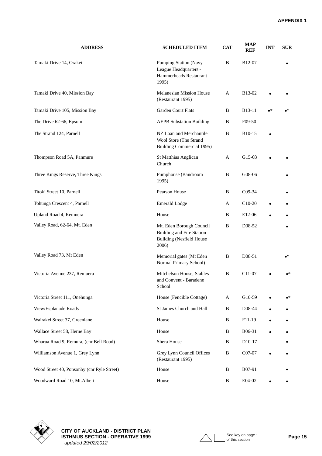| <b>ADDRESS</b>                             | <b>SCHEDULED ITEM</b>                                                                                    | <b>CAT</b> | <b>MAP</b><br><b>REF</b> | <b>INT</b>  | <b>SUR</b>  |
|--------------------------------------------|----------------------------------------------------------------------------------------------------------|------------|--------------------------|-------------|-------------|
| Tamaki Drive 14, Orakei                    | <b>Pumping Station (Navy</b><br>League Headquarters -<br>Hammerheads Restaurant<br>1995)                 | B          | B12-07                   |             |             |
| Tamaki Drive 40, Mission Bay               | <b>Melanesian Mission House</b><br>(Restaurant 1995)                                                     | A          | B13-02                   |             |             |
| Tamaki Drive 105, Mission Bay              | <b>Garden Court Flats</b>                                                                                | B          | B13-11                   | $\bullet^*$ | $\bullet^*$ |
| The Drive 62-66, Epsom                     | <b>AEPB Substation Building</b>                                                                          | B          | F09-50                   |             |             |
| The Strand 124, Parnell                    | NZ Loan and Merchantile<br>Wool Store (The Strand<br><b>Building Commercial 1995)</b>                    | B          | B10-15                   |             |             |
| Thompson Road 5A, Panmure                  | St Matthias Anglican<br>Church                                                                           | A          | G15-03                   |             |             |
| Three Kings Reserve, Three Kings           | Pumphouse (Bandroom<br>1995)                                                                             | B          | G08-06                   |             |             |
| Titoki Street 10, Parnell                  | Pearson House                                                                                            | B          | C09-34                   |             |             |
| Tohunga Crescent 4, Parnell                | <b>Emerald Lodge</b>                                                                                     | A          | $C10-20$                 |             |             |
| Upland Road 4, Remuera                     | House                                                                                                    | B          | E12-06                   |             |             |
| Valley Road, 62-64, Mt. Eden               | Mt. Eden Borough Council<br><b>Building and Fire Station</b><br><b>Building (Nesfield House</b><br>2006) | B          | D08-52                   |             | $\bullet$   |
| Valley Road 73, Mt Eden                    | Memorial gates (Mt Eden<br>Normal Primary School)                                                        | B          | D08-51                   |             | $\bullet^*$ |
| Victoria Avenue 237, Remuera               | Mitchelson House, Stables<br>and Convent - Baradene<br>School                                            | B          | C11-07                   |             | $\bullet^*$ |
| Victoria Street 111, Onehunga              | House (Fencible Cottage)                                                                                 | A          | G10-59                   |             | $\bullet^*$ |
| View/Esplanade Roads                       | St James Church and Hall                                                                                 | B          | D08-44                   |             |             |
| Wairakei Street 37, Greenlane              | House                                                                                                    | B          | F11-19                   |             |             |
| Wallace Street 58, Herne Bay               | House                                                                                                    | B          | B06-31                   |             |             |
| Wharua Road 9, Remura, (cnr Bell Road)     | Shera House                                                                                              | B          | D <sub>10</sub> -17      |             |             |
| Williamson Avenue 1, Grey Lynn             | Grey Lynn Council Offices<br>(Restaurant 1995)                                                           | B          | C07-07                   | $\bullet$   |             |
| Wood Street 40, Ponsonby (cnr Ryle Street) | House                                                                                                    | B          | B07-91                   |             |             |
| Woodward Road 10, Mt.Albert                | House                                                                                                    | B          | E04-02                   | $\bullet$   |             |



**CITY OF AUCKLAND - DISTRICT PLAN ISTHMUS SECTION - OPERATIVE 1999** Page 15  *updated 29/02/2012*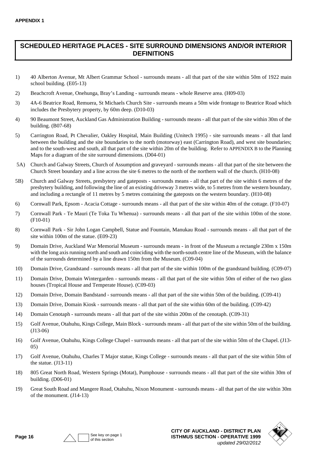### **SCHEDULED HERITAGE PLACES - SITE SURROUND DIMENSIONS AND/OR INTERIOR DEFINITIONS**

- 1) 40 Alberton Avenue, Mt Albert Grammar School surrounds means all that part of the site within 50m of 1922 main school building. (E05-13)
- 2) Beachcroft Avenue, Onehunga, Bray's Landing surrounds means whole Reserve area. (H09-03)
- 3) 4A-6 Beatrice Road, Remuera, St Michaels Church Site surrounds means a 50m wide frontage to Beatrice Road which includes the Presbytery property, by 60m deep. (D10-03)
- 4) 90 Beaumont Street, Auckland Gas Administration Building surrounds means all that part of the site within 30m of the building. (B07-68)
- 5) Carrington Road, Pt Chevalier, Oakley Hospital, Main Building (Unitech 1995) site surrounds means all that land between the building and the site boundaries to the north (motorway) east (Carrington Road), and west site boundaries; and to the south-west and south, all that part of the site within 20m of the building. Refer to APPENDIX B to the Planning Maps for a diagram of the site surround dimensions. (D04-01)
- 5A) Church and Galway Streets, Church of Assumption and graveyard surrounds means all that part of the site between the Church Street boundary and a line across the site 6 metres to the north of the northern wall of the church. (H10-08)
- 5B) Church and Galway Streets, presbytery and gateposts surrounds means all that part of the site within 6 metres of the presbytery building, and following the line of an existing driveway 3 metres wide, to 5 metres from the western boundary, and including a rectangle of 11 metres by 5 metres containing the gateposts on the western boundary. (H10-08)
- 6) Cornwall Park, Epsom Acacia Cottage surrounds means all that part of the site within 40m of the cottage. (F10-07)
- 7) Cornwall Park Te Mauri (Te Toka Tu Whenua) surrounds means all that part of the site within 100m of the stone. (F10-01)
- 8) Cornwall Park Sir John Logan Campbell, Statue and Fountain, Manukau Road surrounds means all that part of the site within 100m of the statue. (E09-23)
- 9) Domain Drive, Auckland War Memorial Museum surrounds means in front of the Museum a rectangle 230m x 150m with the long axis running north and south and coinciding with the north-south centre line of the Museum, with the balance of the surrounds determined by a line drawn 150m from the Museum. (C09-04)
- 10) Domain Drive, Grandstand surrounds means all that part of the site within 100m of the grandstand building. (C09-07)
- 11) Domain Drive, Domain Wintergarden surrounds means all that part of the site within 50m of either of the two glass houses (Tropical House and Temperate House). (C09-03)
- 12) Domain Drive, Domain Bandstand surrounds means all that part of the site within 50m of the building. (C09-41)
- 13) Domain Drive, Domain Kiosk surrounds means all that part of the site within 60m of the building. (C09-42)
- 14) Domain Cenotaph surrounds means all that part of the site within 200m of the cenotaph. (C09-31)
- 15) Golf Avenue, Otahuhu, Kings College, Main Block surrounds means all that part of the site within 50m of the building. (J13-06)
- 16) Golf Avenue, Otahuhu, Kings College Chapel surrounds means all that part of the site within 50m of the Chapel. (J13- 05)
- 17) Golf Avenue, Otahuhu, Charles T Major statue, Kings College surrounds means all that part of the site within 50m of the statue. (J13-11)
- 18) 805 Great North Road, Western Springs (Motat), Pumphouse surrounds means all that part of the site within 30m of building. (D06-01)
- 19) Great South Road and Mangere Road, Otahuhu, Nixon Monument surrounds means all that part of the site within 30m of the monument. (J14-13)



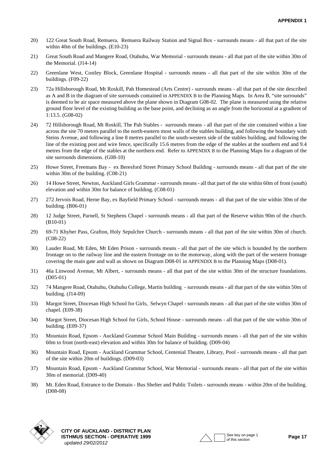- 20) 122 Great South Road, Remuera, Remuera Railway Station and Signal Box surrounds means all that part of the site within 40m of the buildings. (E10-23)
- 21) Great South Road and Mangere Road, Otahuhu, War Memorial surrounds means all that part of the site within 30m of the Memorial. (J14-14)
- 22) Greenlane West, Costley Block, Greenlane Hospital surrounds means all that part of the site within 30m of the buildings. (F09-22)
- 23) 72a Hillsborough Road, Mt Roskill, Pah Homestead (Arts Centre) surrounds means all that part of the site described as A and B in the diagram of site surrounds contained in APPENDIX B to the Planning Maps. In Area B, "site surrounds" is deemed to be air space measured above the plane shown in Diagram G08-02. The plane is measured using the relative ground floor level of the existing building as the base point, and declining as an angle from the horizontal at a gradient of 1:13.5. (G08-02)
- 24) 72 Hillsborough Road, Mt Roskill, The Pah Stables surrounds means all that part of the site contained within a line across the site 70 metres parallel to the north-eastern most walls of the stables building, and following the boundary with Steins Avenue, and following a line 8 metres parallel to the south-western side of the stables building, and following the line of the existing post and wire fence, specifically 15.6 metres from the edge of the stables at the southern end and 9.4 metres from the edge of the stables at the northern end. Refer to APPENDIX B to the Planning Maps for a diagram of the site surrounds dimensions. (G08-10)
- 25) Howe Street, Freemans Bay ex Beresford Street Primary School Building surrounds means all that part of the site within 30m of the building. (C08-21)
- 26) 14 Howe Street, Newton, Auckland Girls Grammar surrounds means all that part of the site within 60m of front (south) elevation and within 30m for balance of building. (C08-01)
- 27) 272 Jervois Road, Herne Bay, ex Bayfield Primary School surrounds means all that part of the site within 30m of the building. (B06-01)
- 28) 12 Judge Street, Parnell, St Stephens Chapel surrounds means all that part of the Reserve within 90m of the church. (B10-01)
- 29) 69-71 Khyber Pass, Grafton, Holy Sepulchre Church surrounds means all that part of the site within 30m of church. (C08-22)
- 30) Lauder Road, Mt Eden, Mt Eden Prison surrounds means all that part of the site which is bounded by the northern frontage on to the railway line and the eastern frontage on to the motorway, along with the part of the western frontage covering the main gate and wall as shown on Diagram D08-01 in APPENDIX B to the Planning Maps (D08-01).
- 31) 46a Linwood Avenue, Mt Albert, surrounds means all that part of the site within 30m of the structure foundations. (D05-01)
- 32) 74 Mangere Road, Otahuhu, Otahuhu College, Martin building surrounds means all that part of the site within 50m of building. (J14-09)
- 33) Margot Street, Diocesan High School for Girls, Selwyn Chapel surrounds means all that part of the site within 30m of chapel. (E09-38)
- 34) Margot Street, Diocesan High School for Girls, School House surrounds means all that part of the site within 30m of building. (E09-37)
- 35) Mountain Road, Epsom Auckland Grammar School Main Building surrounds means all that part of the site within 60m to front (north-east) elevation and within 30m for balance of building. (D09-04)
- 36) Mountain Road, Epsom Auckland Grammar School, Centenial Theatre, Library, Pool surrounds means all that part of the site within 20m of buildings. (D09-03)
- 37) Mountain Road, Epsom Auckland Grammar School, War Memorial surrounds means all that part of the site within 30m of memorial. (D09-40)
- 38) Mt. Eden Road, Entrance to the Domain Bus Shelter and Public Toilets surrounds means within 20m of the building. (D08-08)



**CITY OF AUCKLAND - DISTRICT PLAN ISTHMUS SECTION - OPERATIVE 1999**  $\bigwedge$   $\bigcap$  See key on page 1 **Page 17**  *updated 29/02/2012*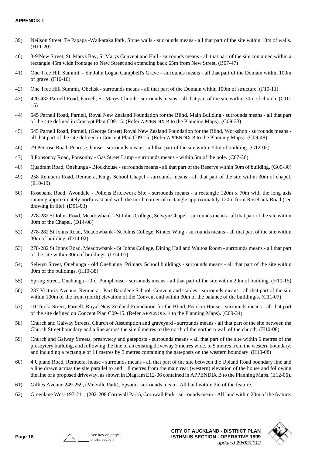- 39) Neilson Street, Te Papapa -Waikaraka Park, Stone walls surrounds means all that part of the site within 10m of walls. (H11-20)
- 40) 3-9 New Street, St Marys Bay, St Marys Convent and Hall surrounds means all that part of the site contained within a rectangle 45m wide frontage to New Street and extending back 65m from New Street. (B07-47)
- 41) One Tree Hill Summit Sir John Logan Campbell's Grave surrounds means all that part of the Domain within 100m of grave. (F10-10)
- 42) One Tree Hill Summit, Obelisk surrounds means all that part of the Domain within 100m of structure. (F10-11)
- 43) 420-432 Parnell Road, Parnell, St Marys Church surrounds means all that part of the site within 30m of church. (C10- 15)
- 44) 545 Parnell Road, Parnell, Royal New Zealand Foundation for the Blind, Main Building surrounds means all that part of the site defined in Concept Plan C09-15. (Refer APPENDIX B to the Planning Maps). (C09-33)
- 45) 545 Parnell Road, Parnell, (George Street) Royal New Zealand Foundation for the Blind, Workshop surrounds means all that part of the site defined in Concept Plan C09-15. (Refer APPENDIX B to the Planning Maps). (C09-48)
- 46) 79 Penrose Road, Penrose, house surrounds means all that part of the site within 50m of building. (G12-02)
- 47) 8 Ponsonby Road, Ponsonby Gas Street Lamp surrounds means within 5m of the pole. (C07-36)
- 48) Quadrant Road, Onehunga Blockhouse surrounds means all that part of the Reserve within 50m of building. (G09-30)
- 49) 258 Remuera Road, Remuera, Kings School Chapel surrounds means all that part of the site within 30m of chapel. (E10-19)
- 50) Rosebank Road, Avondale Pollens Brickwork Site surrounds means a rectangle 120m x 70m with the long axis running approximately north-east and with the north corner of rectangle approximately 120m from Rosebank Road (see drawing in file). (D01-03)
- 51) 278-282 St Johns Road, Meadowbank St Johns College, Selwyn Chapel surrounds means all that part of the site within 30m of the Chapel. (D14-08)
- 52) 278-282 St Johns Road, Meadowbank St Johns College, Kinder Wing surrounds means all that part of the site within 30m of building. (D14-02)
- 53) 278-282 St Johns Road, Meadowbank St Johns College, Dining Hall and Waitoa Room surrounds means all that part of the site within 30m of buildings. (D14-01)
- 54) Selwyn Street, Onehunga old Onehunga Primary School buildings surrounds means all that part of the site within 30m of the buildings. (H10-38)
- 55) Spring Street, Onehunga Old Pumphouse surrounds means all that part of the site within 20m of building. (H10-15)
- 56) 237 Victoria Avenue, Remuera Part Baradene School, Convent and stables surrounds means all that part of the site within 100m of the front (north) elevation of the Convent and within 30m of the balance of the building/s. (C11-07)
- 57) 10 Titoki Street, Parnell, Royal New Zealand Foundation for the Blind, Pearson House surrounds means all that part of the site defined on Concept Plan C09-15. (Refer APPENDIX B to the Planning Maps). (C09-34)
- 58) Church and Galway Streets, Church of Assumption and graveyard surrounds means all that part of the site between the Church Street boundary and a line across the site 6 metres to the north of the northern wall of the church. (H10-08)
- 59) Church and Galway Streets, presbytery and gateposts surrounds means all that part of the site within 6 metres of the presbytery building, and following the line of an existing driveway 3 metres wide, to 5 metres from the western boundary, and including a rectangle of 11 metres by 5 metres containing the gateposts on the western boundary. (H10-08)
- 60) 4 Upland Road, Remuera, house surrounds means all that part of the site between the Upland Road boundary line and a line drawn across the site parallel to and 1.8 metres from the main rear (western) elevation of the house and following the line of a proposed driveway, as shown in Diagram E12-06 contained in APPENDIX B to the Planning Maps. (E12-06).
- 61) Gillies Avenue 249-259, (Melville Park), Epsom surrounds mean All land within 2m of the feature.
- 62) Greenlane West 197-211, (202-208 Cornwall Park), Cornwall Park surrounds mean All land within 20m of the feature.



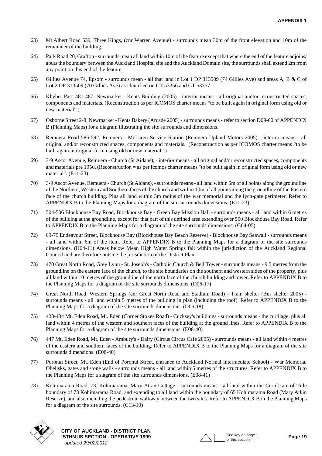- 63) Mt.Albert Road 539, Three Kings, (cnr Warren Avenue) surrounds mean 30m of the front elevation and 10m of the remainder of the building.
- 64) Park Road 20, Grafton surrounds mean all land within 10m of the feature except that where the end of the feature adjoins/ abuts the boundary between the Auckland Hospital site and the Auckland Domain site, the surrounds shall extend 2m from any point on this end of the feature.
- 65) Gillies Avenue 74, Epsom surrounds mean all that land in Lot 1 DP 313509 (74 Gillies Ave) and areas A, B & C of Lot 2 DP 313509 (70 Gillies Ave) as identified on CT 53356 and CT 53357.
- 66) Khyber Pass 481-487, Newmarket Kents Building (2005) interior means all original and/or reconstructed spaces, components and materials. (Reconstruction as per ICOMOS charter means "to be built again in original form using old or new material".)
- [67\) Osborne Street 2-8, Newmarket Kents Bakery \(Arcade 2005\) surrounds means refer to section D09-60 of APPENDIX](#page-0-0)  B (Planning Maps) for a diagram illustrating the site surrounds and dimensions.
- 68) Remuera Road 586-592, Remuera McLaren Service Station (Remuera Upland Motors 2005) interior means all original and/or reconstructed spaces, components and materials. (Reconstruction as per ICOMOS charter means "to be built again in original form using old or new material".)
- 69) 3-9 Ascot Avenue, Remuera Church (St Aidans), interior means all original and/or reconstructed spaces, components and materials pre 1956. (Reconstruction = as per Icomos charter means "to be built again in original form using old or new material". (E11-23)
- 70) 3-9 Ascot Avenue, Remuera Church (St Aidans), surrounds means all land within 5m of all points along the groundline of the Northern, Western and Southern faces of the church and within 10m of all points along the groundline of the Eastern face of the church building. Plus all land within 3m radius of the war memorial and the lych-gate perimeter. Refer to APPENDIX B to the Planning Maps for a diagram of the site surrounds dimensions. (E11-23)
- 71) 504-506 Blockhouse Bay Road, Blockhouse Bay Green Bay Mission Hall surrounds means all land within 6 metres of the building at the groundline, except for that part of this defined area extending over 500 Blockhouse Bay Road. Refer to APPENDIX B to the Planning Maps for a diagram of the site surrounds dimensions. (G04-05)
- 72) 69-79 Endeavour Street, Blockhouse Bay (Blockhouse Bay Beach Reserve) Blockhouse Bay Seawall surrounds means - all land within 6m of the item. Refer to APPENDIX B to the Planning Maps for a diagram of the site surrounds dimensions. (H04-11) Areas below Mean High Water Springs fall within the jurisdiction of the Auckland Regional Council and are therefore outside the jurisdiction of the District Plan.
- 73) 470 Great North Road, Grey Lynn St. Joseph's Catholic Church & Bell Tower surrounds means 9.5 metres from the groundline on the eastern face of the church, to the site boundaries on the southern and western sides of the property, plus all land within 10 metres of the groundline of the north face of the church building and tower. Refer to APPENDIX B to the Planning Maps for a diagram of the site surrounds dimensions. (D06-17)
- 74) Great North Road, Western Springs (cnr Great North Road and Stadium Road) Tram shelter (Bus shelter 2005) surrounds means - all land within 5 metres of the building in plan (including the roof). Refer to APPENDIX B to the Planning Maps for a diagram of the site surrounds dimensions. (D06-18)
- 75) 428-434 Mt. Eden Road, Mt. Eden (Corner Stokes Road) Cucksey's buildings surrounds means the curtilage, plus all land within 4 metres of the western and southern faces of the building at the ground lines. Refer to APPENDIX B to the Planning Maps for a diagram of the site surrounds dimensions. (E08-40)
- 76) 447 Mt. Eden Road, Mt. Eden Ambury's Dairy (Circus Circus Cafe 2005) surrounds means all land within 4 metres of the eastern and southern faces of the building. Refer to APPENDIX B to the Planning Maps for a diagram of the site surrounds dimensions. (E08-40)
- 77) Poronui Street, Mt. Eden (End of Poronui Street, entrance to Auckland Normal Intermediate School) War Memorial Obelisks, gates and stone walls - surrounds means - all land within 5 metres of the structures. Refer to APPENDIX B to the Planning Maps for a siagram of the site surrounds dimensions. (E08-41)
- 78) Kohimarama Road, 73, Kohimarama, Mary Atkin Cottage surrounds means all land within the Certificate of Title boundary of 73 Kohimarama Road, and extending to all land within the boundary of 65 Kohimarama Road (Mary Atkin Reserve), and also including the pedestrian walkway between the two sites. Refer to APPENDIX B in the Planning Maps for a diagram of the site surrounds. (C13-10)



**CITY OF AUCKLAND - DISTRICT PLAN ISTHMUS SECTION - OPERATIVE 1999** And the second of the Second Section Page 19  *updated 29/02/2012*

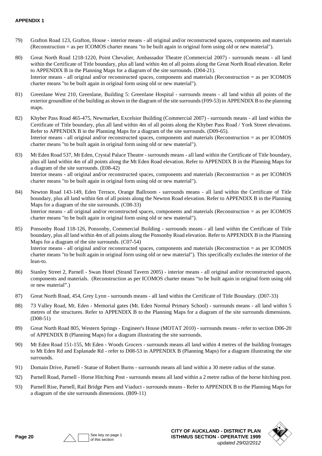- 79) Grafton Road 123, Grafton, House interior means all original and/or reconstructed spaces, components and materials (Reconstruction = as per ICOMOS charter means "to be built again in original form using old or new material").
- 80) Great North Road 1218-1220, Point Chevalier, Ambassador Theatre (Commercial 2007) surrounds means all land within the Certificate of Title boundary, plus all land within 4m of all points along the Great North Road elevation. Refer to APPENDIX B in the Planning Maps for a diagram of the site surrounds. (D04-21). Interior means - all original and/or reconstructed spaces, components and materials (Reconstruction = as per ICOMOS charter means "to be built again in original form using old or new material").
- 81) Greenlane West 210, Greenlane, Building 5: Greenlane Hospital surrounds means all land within all points of the exterior groundline of the building as shown in the diagram of the site surrounds (F09-53) in APPENDIX B to the planning maps.
- 82) Khyber Pass Road 465-475, Newmarket, Excelsior Building (Commercial 2007) surrounds means all land within the Certificate of Title boundary, plus all land within 4m of all points along the Khyber Pass Road / York Street elevations. Refer to APPENDIX B in the Planning Maps for a diagram of the site surrounds. (D09-65). Interior means - all original and/or reconstructed spaces, components and materials (Reconstruction = as per ICOMOS charter means "to be built again in original form using old or new material").
- 83) Mt Eden Road 537, Mt Eden, Crystal Palace Theatre surrounds means all land within the Certificate of Title boundary, plus all land within 4m of all points along the Mt Eden Road elevation. Refer to APPENDIX B in the Planning Maps for a diagram of the site surrounds. (E08-42) Interior means - all original and/or reconstructed spaces, components and materials (Reconstruction = as per ICOMOS charter means "to be built again in original form using old or new material").
- 84) Newton Road 143-149, Eden Terrace, Orange Ballroom surrounds means all land within the Certificate of Title boundary, plus all land within 6m of all points along the Newton Road elevation. Refer to APPENDIX B in the Planning Maps for a diagram of the site surrounds. (C08-33) Interior means - all original and/or reconstructed spaces, components and materials (Reconstruction = as per ICOMOS charter means "to be built again in original form using old or new material").
- 85) Ponsonby Road 118-126, Ponsonby, Commercial Building surrounds means all land within the Certificate of Title boundary, plus all land within 4m of all points along the Ponsonby Road elevation. Refer to APPENDIX B in the Planning Maps for a diagram of the site surrounds. (C07-54) Interior means - all original and/or reconstructed spaces, components and materials (Reconstruction = as per ICOMOS charter means "to be built again in original form using old or new material"). This specifically excludes the interior of the lean-to.
- 86) Stanley Street 2, Parnell Swan Hotel (Strand Tavern 2005) interior means all original and/or reconstructed spaces, components and materials. (Reconstruction as per ICOMOS charter means "to be built again in original form using old or new material".)
- 87) Great North Road, 454, Grey Lynn surrounds means all land within the Certificate of Title Boundary. (D07-33)
- 88) 73 Valley Road, Mt. Eden Memorial gates (Mt. Eden Normal Primary School) surrounds means all land within 5 metres of the structures. Refer to APPENDIX B to the Planning Maps for a diagram of the site surrounds dimensions. (D08-51)
- 89) Great North Road 805, Western Springs Engineer's House (MOTAT 2010) surrounds means refer to section D06-20 of APPENDIX B (Planning Maps) for a diagram illustrating the site surrounds.
- 90) Mt Eden Road 151-155, Mt Eden Woods Grocers surrounds means all land within 4 metres of the building frontages to Mt Eden Rd and Esplanade Rd - refer to D08-53 in APPENDIX B (Planning Maps) for a diagram illustrating the site surrounds.
- 91) Domain Drive, Parnell Statue of Robert Burns surrounds means all land within a 30 metre radius of the statue.
- 92) Parnell Road, Parnell Horse Hitching Post surrounds means all land within a 2 metre radius of the horse hitching post.
- 93) Parnell Rise, Parnell, Rail Bridge Piers and Viaduct surrounds means Refer to APPENDIX B to the Planning Maps for a diagram of the site surrounds dimensions. (B09-11)